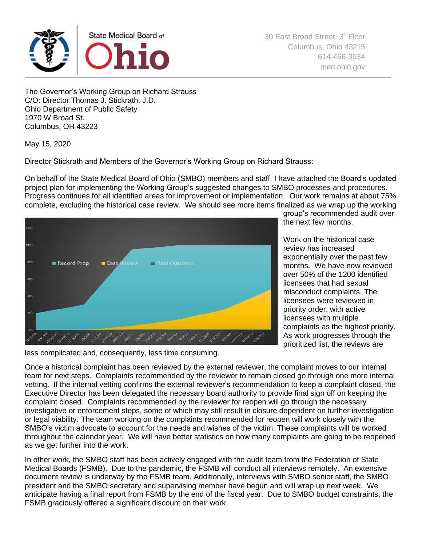

30 East Broad Street, 3<sup>rd</sup> Floor Columbus, Ohio 43215 614-466-3934 [med.ohio.gov](http://www.med.ohio.gov/)

The Governor's Working Group on Richard Strauss C/O: Director Thomas J. Stickrath, J.D. Ohio Department of Public Safety 1970 W Broad St. Columbus, OH 43223

May 15, 2020

Director Stickrath and Members of the Governor's Working Group on Richard Strauss:

On behalf of the State Medical Board of Ohio (SMBO) members and staff, I have attached the Board's updated project plan for implementing the Working Group's suggested changes to SMBO processes and procedures. Progress continues for all identified areas for improvement or implementation. Our work remains at about 75% complete, excluding the historical case review. We should see more items finalized as we wrap up the working



group's recommended audit over the next few months.

Work on the historical case review has increased exponentially over the past few months. We have now reviewed over 50% of the 1200 identified licensees that had sexual misconduct complaints. The licensees were reviewed in priority order, with active licensees with multiple complaints as the highest priority. As work progresses through the prioritized list, the reviews are

less complicated and, consequently, less time consuming.

Once a historical complaint has been reviewed by the external reviewer, the complaint moves to our internal team for next steps. Complaints recommended by the reviewer to remain closed go through one more internal vetting. If the internal vetting confirms the external reviewer's recommendation to keep a complaint closed, the Executive Director has been delegated the necessary board authority to provide final sign off on keeping the complaint closed. Complaints recommended by the reviewer for reopen will go through the necessary investigative or enforcement steps, some of which may still result in closure dependent on further investigation or legal viability. The team working on the complaints recommended for reopen will work closely with the SMBO's victim advocate to account for the needs and wishes of the victim. These complaints will be worked throughout the calendar year. We will have better statistics on how many complaints are going to be reopened as we get further into the work.

In other work, the SMBO staff has been actively engaged with the audit team from the Federation of State Medical Boards (FSMB). Due to the pandemic, the FSMB will conduct all interviews remotely. An extensive document review is underway by the FSMB team. Additionally, interviews with SMBO senior staff, the SMBO president and the SMBO secretary and supervising member have begun and will wrap up next week. We anticipate having a final report from FSMB by the end of the fiscal year. Due to SMBO budget constraints, the FSMB graciously offered a significant discount on their work.